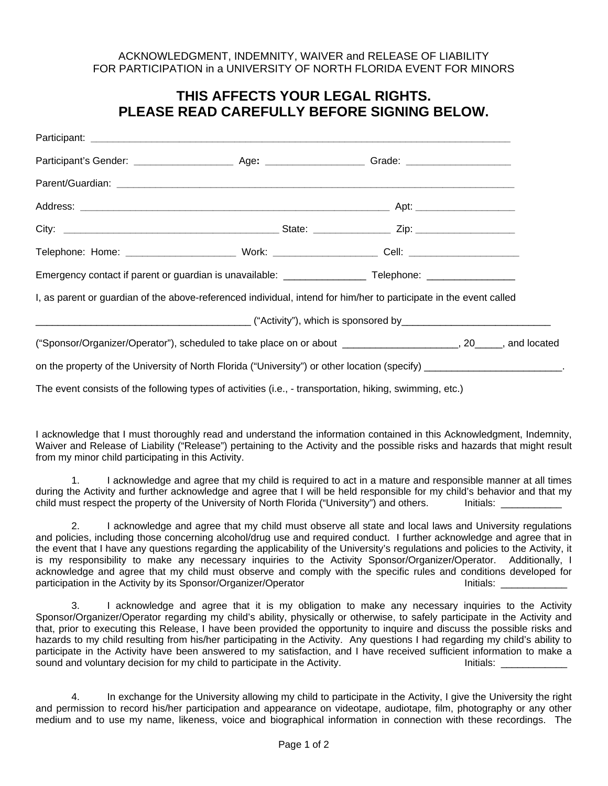## ACKNOWLEDGMENT, INDEMNITY, WAIVER and RELEASE OF LIABILITY FOR PARTICIPATION in a UNIVERSITY OF NORTH FLORIDA EVENT FOR MINORS

## **THIS AFFECTS YOUR LEGAL RIGHTS. PLEASE READ CAREFULLY BEFORE SIGNING BELOW.**

| I, as parent or guardian of the above-referenced individual, intend for him/her to participate in the event called |  |  |
|--------------------------------------------------------------------------------------------------------------------|--|--|
|                                                                                                                    |  |  |
| ("Sponsor/Organizer/Operator"), scheduled to take place on or about ______________________, 20_____, and located   |  |  |
|                                                                                                                    |  |  |
| The event consists of the following types of activities (i.e., - transportation, hiking, swimming, etc.)           |  |  |

I acknowledge that I must thoroughly read and understand the information contained in this Acknowledgment, Indemnity, Waiver and Release of Liability ("Release") pertaining to the Activity and the possible risks and hazards that might result from my minor child participating in this Activity.

1. I acknowledge and agree that my child is required to act in a mature and responsible manner at all times during the Activity and further acknowledge and agree that I will be held responsible for my child's behavior and that my child must respect the property of the University of North Florida ("University") and others. Initials: \_

2. I acknowledge and agree that my child must observe all state and local laws and University regulations and policies, including those concerning alcohol/drug use and required conduct. I further acknowledge and agree that in the event that I have any questions regarding the applicability of the University's regulations and policies to the Activity, it is my responsibility to make any necessary inquiries to the Activity Sponsor/Organizer/Operator. Additionally, I acknowledge and agree that my child must observe and comply with the specific rules and conditions developed for participation in the Activity by its Sponsor/Organizer/Operator Initials: \_\_\_\_\_\_\_\_\_\_\_\_

3. I acknowledge and agree that it is my obligation to make any necessary inquiries to the Activity Sponsor/Organizer/Operator regarding my child's ability, physically or otherwise, to safely participate in the Activity and that, prior to executing this Release, I have been provided the opportunity to inquire and discuss the possible risks and hazards to my child resulting from his/her participating in the Activity. Any questions I had regarding my child's ability to participate in the Activity have been answered to my satisfaction, and I have received sufficient information to make a sound and voluntary decision for my child to participate in the Activity. The Initials: Limitials:

4. In exchange for the University allowing my child to participate in the Activity, I give the University the right and permission to record his/her participation and appearance on videotape, audiotape, film, photography or any other medium and to use my name, likeness, voice and biographical information in connection with these recordings. The